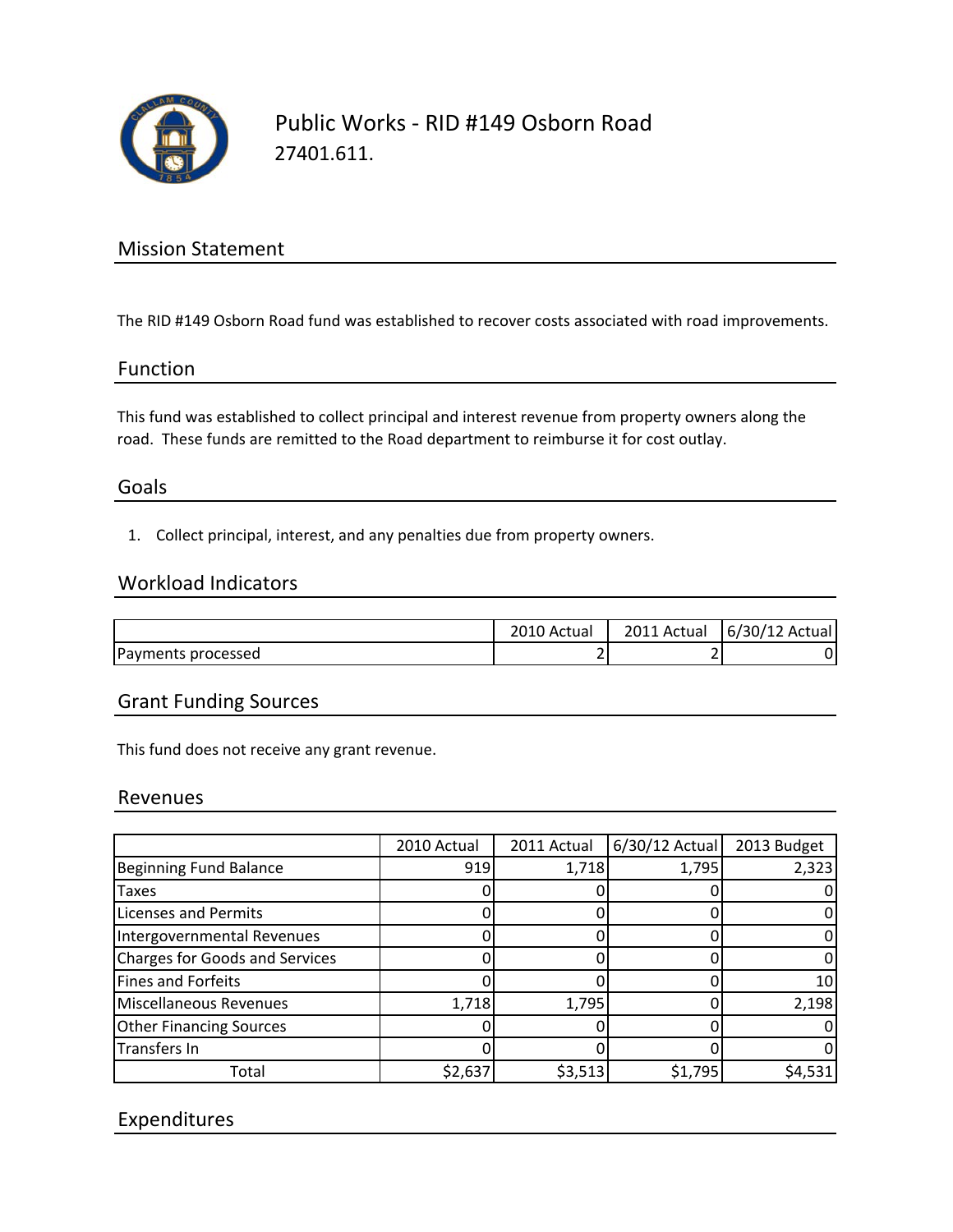

# Public Works ‐ RID #149 Osborn Road 27401.611.

# Mission Statement

The RID #149 Osborn Road fund was established to recover costs associated with road improvements.

## Function

This fund was established to collect principal and interest revenue from property owners along the road. These funds are remitted to the Road department to reimburse it for cost outlay.

## Goals

1. Collect principal, interest, and any penalties due from property owners.

#### Workload Indicators

|                    | ⊥0 Actual     | 2011 Actual | 6/30/12 Actual |
|--------------------|---------------|-------------|----------------|
| Payments processed | ◚<br><u>.</u> |             |                |

# Grant Funding Sources

This fund does not receive any grant revenue.

#### Revenues

|                                       | 2010 Actual | 2011 Actual | $6/30/12$ Actual | 2013 Budget |
|---------------------------------------|-------------|-------------|------------------|-------------|
| <b>Beginning Fund Balance</b>         | 919         | 1,718       | 1,795            | 2,323       |
| <b>Taxes</b>                          |             |             |                  |             |
| <b>Licenses and Permits</b>           |             |             |                  |             |
| Intergovernmental Revenues            |             |             |                  |             |
| <b>Charges for Goods and Services</b> |             |             |                  |             |
| Fines and Forfeits                    |             |             |                  | 10          |
| Miscellaneous Revenues                | 1,718       | 1,795       |                  | 2,198       |
| <b>Other Financing Sources</b>        |             |             |                  |             |
| Transfers In                          |             |             |                  |             |
| Total                                 | \$2,637     | \$3,513     | \$1,795          | \$4,531     |

## Expenditures